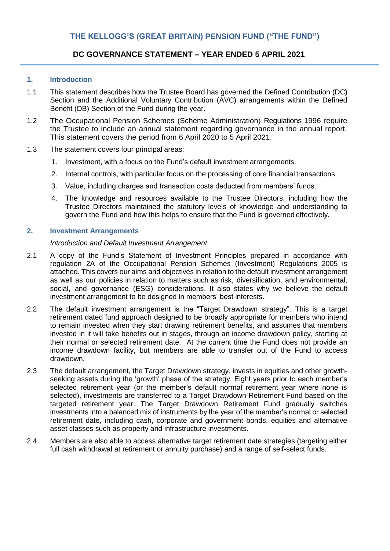# **DC GOVERNANCE STATEMENT – YEAR ENDED 5 APRIL 2021**

# **1. Introduction**

- 1.1 This statement describes how the Trustee Board has governed the Defined Contribution (DC) Section and the Additional Voluntary Contribution (AVC) arrangements within the Defined Benefit (DB) Section of the Fund during the year.
- 1.2 The Occupational Pension Schemes (Scheme Administration) Regulations 1996 require the Trustee to include an annual statement regarding governance in the annual report. This statement covers the period from 6 April 2020 to 5 April 2021.
- 1.3 The statement covers four principal areas:
	- 1. Investment, with a focus on the Fund's default investment arrangements.
	- 2. Internal controls, with particular focus on the processing of core financial transactions.
	- 3. Value, including charges and transaction costs deducted from members' funds.
	- 4. The knowledge and resources available to the Trustee Directors, including how the Trustee Directors maintained the statutory levels of knowledge and understanding to govern the Fund and how this helps to ensure that the Fund is governed effectively.

# **2. Investment Arrangements**

### *Introduction and Default Investment Arrangement*

- 2.1 A copy of the Fund's Statement of Investment Principles prepared in accordance with regulation 2A of the Occupational Pension Schemes (Investment) Regulations 2005 is attached. This covers our aims and objectives in relation to the default investment arrangement as well as our policies in relation to matters such as risk, diversification, and environmental, social, and governance (ESG) considerations. It also states why we believe the default investment arrangement to be designed in members' best interests.
- 2.2 The default investment arrangement is the "Target Drawdown strategy". This is a target retirement dated fund approach designed to be broadly appropriate for members who intend to remain invested when they start drawing retirement benefits, and assumes that members invested in it will take benefits out in stages, through an income drawdown policy, starting at their normal or selected retirement date. At the current time the Fund does not provide an income drawdown facility, but members are able to transfer out of the Fund to access drawdown.
- 2.3 The default arrangement, the Target Drawdown strategy, invests in equities and other growthseeking assets during the 'growth' phase of the strategy. Eight years prior to each member's selected retirement year (or the member's default normal retirement year where none is selected), investments are transferred to a Target Drawdown Retirement Fund based on the targeted retirement year. The Target Drawdown Retirement Fund gradually switches investments into a balanced mix of instruments by the year of the member's normal or selected retirement date, including cash, corporate and government bonds, equities and alternative asset classes such as property and infrastructure investments.
- 2.4 Members are also able to access alternative target retirement date strategies (targeting either full cash withdrawal at retirement or annuity purchase) and a range of self-select funds.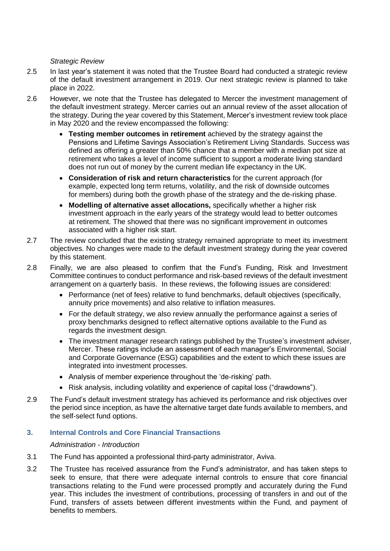### *Strategic Review*

- 2.5 In last year's statement it was noted that the Trustee Board had conducted a strategic review of the default investment arrangement in 2019. Our next strategic review is planned to take place in 2022.
- 2.6 However, we note that the Trustee has delegated to Mercer the investment management of the default investment strategy. Mercer carries out an annual review of the asset allocation of the strategy. During the year covered by this Statement, Mercer's investment review took place in May 2020 and the review encompassed the following:
	- **Testing member outcomes in retirement** achieved by the strategy against the Pensions and Lifetime Savings Association's Retirement Living Standards. Success was defined as offering a greater than 50% chance that a member with a median pot size at retirement who takes a level of income sufficient to support a moderate living standard does not run out of money by the current median life expectancy in the UK.
	- **Consideration of risk and return characteristics** for the current approach (for example, expected long term returns, volatility, and the risk of downside outcomes for members) during both the growth phase of the strategy and the de-risking phase.
	- **Modelling of alternative asset allocations,** specifically whether a higher risk investment approach in the early years of the strategy would lead to better outcomes at retirement. The showed that there was no significant improvement in outcomes associated with a higher risk start.
- 2.7 The review concluded that the existing strategy remained appropriate to meet its investment objectives. No changes were made to the default investment strategy during the year covered by this statement.
- 2.8 Finally, we are also pleased to confirm that the Fund's Funding, Risk and Investment Committee continues to conduct performance and risk-based reviews of the default investment arrangement on a quarterly basis. In these reviews, the following issues are considered:
	- Performance (net of fees) relative to fund benchmarks, default objectives (specifically, annuity price movements) and also relative to inflation measures.
	- For the default strategy, we also review annually the performance against a series of proxy benchmarks designed to reflect alternative options available to the Fund as regards the investment design.
	- The investment manager research ratings published by the Trustee's investment adviser, Mercer. These ratings include an assessment of each manager's Environmental, Social and Corporate Governance (ESG) capabilities and the extent to which these issues are integrated into investment processes.
	- Analysis of member experience throughout the 'de-risking' path.
	- Risk analysis, including volatility and experience of capital loss ("drawdowns").
- 2.9 The Fund's default investment strategy has achieved its performance and risk objectives over the period since inception, as have the alternative target date funds available to members, and the self-select fund options.

# **3. Internal Controls and Core Financial Transactions**

# *Administration - Introduction*

- 3.1 The Fund has appointed a professional third-party administrator, Aviva.
- 3.2 The Trustee has received assurance from the Fund's administrator, and has taken steps to seek to ensure, that there were adequate internal controls to ensure that core financial transactions relating to the Fund were processed promptly and accurately during the Fund year. This includes the investment of contributions, processing of transfers in and out of the Fund, transfers of assets between different investments within the Fund, and payment of benefits to members.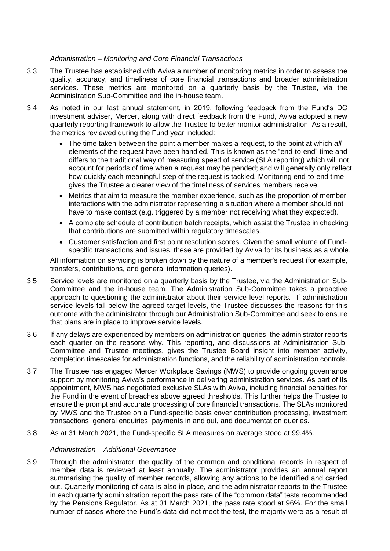# *Administration – Monitoring and Core Financial Transactions*

- 3.3 The Trustee has established with Aviva a number of monitoring metrics in order to assess the quality, accuracy, and timeliness of core financial transactions and broader administration services. These metrics are monitored on a quarterly basis by the Trustee, via the Administration Sub-Committee and the in-house team.
- 3.4 As noted in our last annual statement, in 2019, following feedback from the Fund's DC investment adviser, Mercer, along with direct feedback from the Fund, Aviva adopted a new quarterly reporting framework to allow the Trustee to better monitor administration. As a result, the metrics reviewed during the Fund year included:
	- The time taken between the point a member makes a request, to the point at which *all*  elements of the request have been handled. This is known as the "end-to-end" time and differs to the traditional way of measuring speed of service (SLA reporting) which will not account for periods of time when a request may be pended; and will generally only reflect how quickly each meaningful step of the request is tackled. Monitoring end-to-end time gives the Trustee a clearer view of the timeliness of services members receive.
	- Metrics that aim to measure the member experience, such as the proportion of member interactions with the administrator representing a situation where a member should not have to make contact (e.g. triggered by a member not receiving what they expected).
	- A complete schedule of contribution batch receipts, which assist the Trustee in checking that contributions are submitted within regulatory timescales.
	- Customer satisfaction and first point resolution scores. Given the small volume of Fundspecific transactions and issues, these are provided by Aviva for its business as a whole.

All information on servicing is broken down by the nature of a member's request (for example, transfers, contributions, and general information queries).

- 3.5 Service levels are monitored on a quarterly basis by the Trustee, via the Administration Sub-Committee and the in-house team. The Administration Sub-Committee takes a proactive approach to questioning the administrator about their service level reports. If administration service levels fall below the agreed target levels, the Trustee discusses the reasons for this outcome with the administrator through our Administration Sub-Committee and seek to ensure that plans are in place to improve service levels.
- 3.6 If any delays are experienced by members on administration queries, the administrator reports each quarter on the reasons why. This reporting, and discussions at Administration Sub-Committee and Trustee meetings, gives the Trustee Board insight into member activity, completion timescales for administration functions, and the reliability of administration controls.
- 3.7 The Trustee has engaged Mercer Workplace Savings (MWS) to provide ongoing governance support by monitoring Aviva's performance in delivering administration services. As part of its appointment, MWS has negotiated exclusive SLAs with Aviva, including financial penalties for the Fund in the event of breaches above agreed thresholds. This further helps the Trustee to ensure the prompt and accurate processing of core financial transactions. The SLAs monitored by MWS and the Trustee on a Fund-specific basis cover contribution processing, investment transactions, general enquiries, payments in and out, and documentation queries.
- 3.8 As at 31 March 2021, the Fund-specific SLA measures on average stood at 99.4%.

# *Administration – Additional Governance*

3.9 Through the administrator, the quality of the common and conditional records in respect of member data is reviewed at least annually. The administrator provides an annual report summarising the quality of member records, allowing any actions to be identified and carried out. Quarterly monitoring of data is also in place, and the administrator reports to the Trustee in each quarterly administration report the pass rate of the "common data" tests recommended by the Pensions Regulator. As at 31 March 2021, the pass rate stood at 96%. For the small number of cases where the Fund's data did not meet the test, the majority were as a result of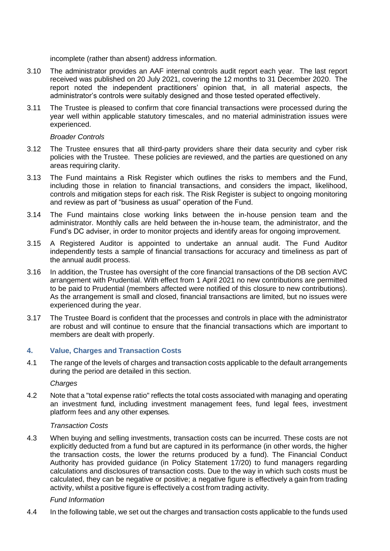incomplete (rather than absent) address information.

- 3.10 The administrator provides an AAF internal controls audit report each year. The last report received was published on 20 July 2021, covering the 12 months to 31 December 2020. The report noted the independent practitioners' opinion that, in all material aspects, the administrator's controls were suitably designed and those tested operated effectively.
- 3.11 The Trustee is pleased to confirm that core financial transactions were processed during the year well within applicable statutory timescales, and no material administration issues were experienced.

## *Broader Controls*

- 3.12 The Trustee ensures that all third-party providers share their data security and cyber risk policies with the Trustee. These policies are reviewed, and the parties are questioned on any areas requiring clarity.
- 3.13 The Fund maintains a Risk Register which outlines the risks to members and the Fund, including those in relation to financial transactions, and considers the impact, likelihood, controls and mitigation steps for each risk. The Risk Register is subject to ongoing monitoring and review as part of "business as usual" operation of the Fund.
- 3.14 The Fund maintains close working links between the in-house pension team and the administrator. Monthly calls are held between the in-house team, the administrator, and the Fund's DC adviser, in order to monitor projects and identify areas for ongoing improvement.
- 3.15 A Registered Auditor is appointed to undertake an annual audit. The Fund Auditor independently tests a sample of financial transactions for accuracy and timeliness as part of the annual audit process.
- 3.16 In addition, the Trustee has oversight of the core financial transactions of the DB section AVC arrangement with Prudential. With effect from 1 April 2021 no new contributions are permitted to be paid to Prudential (members affected were notified of this closure to new contributions). As the arrangement is small and closed, financial transactions are limited, but no issues were experienced during the year.
- 3.17 The Trustee Board is confident that the processes and controls in place with the administrator are robust and will continue to ensure that the financial transactions which are important to members are dealt with properly.

# **4. Value, Charges and Transaction Costs**

4.1 The range of the levels of charges and transaction costs applicable to the default arrangements during the period are detailed in this section.

*Charges*

4.2 Note that a "total expense ratio" reflects the total costs associated with managing and operating an investment fund, including investment management fees, fund legal fees, investment platform fees and any other expenses.

# *Transaction Costs*

4.3 When buying and selling investments, transaction costs can be incurred. These costs are not explicitly deducted from a fund but are captured in its performance (in other words, the higher the transaction costs, the lower the returns produced by a fund). The Financial Conduct Authority has provided guidance (in Policy Statement 17/20) to fund managers regarding calculations and disclosures of transaction costs. Due to the way in which such costs must be calculated, they can be negative or positive; a negative figure is effectively a gain from trading activity, whilst a positive figure is effectively a cost from trading activity.

# *Fund Information*

4.4 In the following table, we set out the charges and transaction costs applicable to the funds used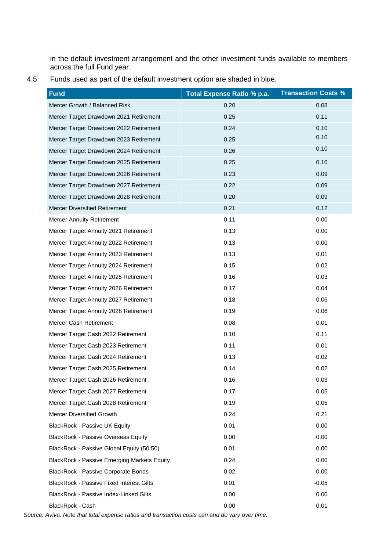in the default investment arrangement and the other investment funds available to members across the full Fund year.

| 4.5 |  |  | Funds used as part of the default investment option are shaded in blue. |
|-----|--|--|-------------------------------------------------------------------------|
|-----|--|--|-------------------------------------------------------------------------|

| <b>Fund</b>                                        | Total Expense Ratio % p.a. | <b>Transaction Costs %</b> |
|----------------------------------------------------|----------------------------|----------------------------|
| Mercer Growth / Balanced Risk                      | 0.20                       | 0.08                       |
| Mercer Target Drawdown 2021 Retirement             | 0.25                       | 0.11                       |
| Mercer Target Drawdown 2022 Retirement             | 0.24                       | 0.10                       |
| Mercer Target Drawdown 2023 Retirement             | 0.25                       | 0.10                       |
| Mercer Target Drawdown 2024 Retirement             | 0.26                       | 0.10                       |
| Mercer Target Drawdown 2025 Retirement             | 0.25                       | 0.10                       |
| Mercer Target Drawdown 2026 Retirement             | 0.23                       | 0.09                       |
| Mercer Target Drawdown 2027 Retirement             | 0.22                       | 0.09                       |
| Mercer Target Drawdown 2028 Retirement             | 0.20                       | 0.09                       |
| Mercer Diversified Retirement                      | 0.21                       | 0.12                       |
| <b>Mercer Annuity Retirement</b>                   | 0.11                       | 0.00                       |
| Mercer Target Annuity 2021 Retirement              | 0.13                       | 0.00                       |
| Mercer Target Annuity 2022 Retirement              | 0.13                       | 0.00                       |
| Mercer Target Annuity 2023 Retirement              | 0.13                       | 0.01                       |
| Mercer Target Annuity 2024 Retirement              | 0.15                       | 0.02                       |
| Mercer Target Annuity 2025 Retirement              | 0.16                       | 0.03                       |
| Mercer Target Annuity 2026 Retirement              | 0.17                       | 0.04                       |
| Mercer Target Annuity 2027 Retirement              | 0.18                       | 0.06                       |
| Mercer Target Annuity 2028 Retirement              | 0.19                       | 0.06                       |
| Mercer Cash Retirement                             | 0.08                       | 0.01                       |
| Mercer Target Cash 2022 Retirement                 | 0.10                       | 0.11                       |
| Mercer Target Cash 2023 Retirement                 | 0.11                       | 0.01                       |
| Mercer Target Cash 2024 Retirement                 | 0.13                       | 0.02                       |
| Mercer Target Cash 2025 Retirement                 | 0.14                       | 0.02                       |
| Mercer Target Cash 2026 Retirement                 | 0.16                       | 0.03                       |
| Mercer Target Cash 2027 Retirement                 | 0.17                       | 0.05                       |
| Mercer Target Cash 2028 Retirement                 | 0.19                       | 0.05                       |
| Mercer Diversified Growth                          | 0.24                       | 0.21                       |
| <b>BlackRock - Passive UK Equity</b>               | 0.01                       | 0.00                       |
| <b>BlackRock - Passive Overseas Equity</b>         | 0.00                       | 0.00                       |
| BlackRock - Passive Global Equity (50:50)          | 0.01                       | 0.00                       |
| <b>BlackRock - Passive Emerging Markets Equity</b> | 0.24                       | 0.00                       |
| BlackRock - Passive Corporate Bonds                | 0.02                       | 0.00                       |
| <b>BlackRock - Passive Fixed Interest Gilts</b>    | 0.01                       | $-0.05$                    |
| BlackRock - Passive Index-Linked Gilts             | 0.00                       | 0.00                       |
| BlackRock - Cash                                   | 0.00                       | 0.01                       |

*Source: Aviva. Note that total expense ratios and transaction costs can and do vary over time.*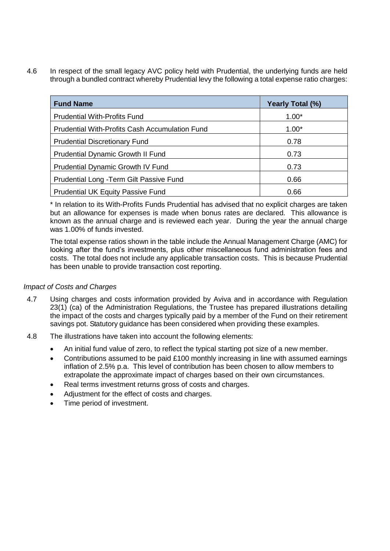4.6 In respect of the small legacy AVC policy held with Prudential, the underlying funds are held through a bundled contract whereby Prudential levy the following a total expense ratio charges:

| <b>Fund Name</b>                                      | Yearly Total (%) |
|-------------------------------------------------------|------------------|
| <b>Prudential With-Profits Fund</b>                   | $1.00*$          |
| <b>Prudential With-Profits Cash Accumulation Fund</b> | $1.00*$          |
| <b>Prudential Discretionary Fund</b>                  | 0.78             |
| Prudential Dynamic Growth II Fund                     | 0.73             |
| <b>Prudential Dynamic Growth IV Fund</b>              | 0.73             |
| Prudential Long - Term Gilt Passive Fund              | 0.66             |
| <b>Prudential UK Equity Passive Fund</b>              | 0.66             |

\* In relation to its With-Profits Funds Prudential has advised that no explicit charges are taken but an allowance for expenses is made when bonus rates are declared. This allowance is known as the annual charge and is reviewed each year. During the year the annual charge was 1.00% of funds invested.

The total expense ratios shown in the table include the Annual Management Charge (AMC) for looking after the fund's investments, plus other miscellaneous fund administration fees and costs. The total does not include any applicable transaction costs. This is because Prudential has been unable to provide transaction cost reporting.

# *Impact of Costs and Charges*

- 4.7 Using charges and costs information provided by Aviva and in accordance with Regulation 23(1) (ca) of the Administration Regulations, the Trustee has prepared illustrations detailing the impact of the costs and charges typically paid by a member of the Fund on their retirement savings pot. Statutory guidance has been considered when providing these examples.
- 4.8 The illustrations have taken into account the following elements:
	- An initial fund value of zero, to reflect the typical starting pot size of a new member.
	- Contributions assumed to be paid £100 monthly increasing in line with assumed earnings inflation of 2.5% p.a. This level of contribution has been chosen to allow members to extrapolate the approximate impact of charges based on their own circumstances.
	- Real terms investment returns gross of costs and charges.
	- Adjustment for the effect of costs and charges.
	- Time period of investment.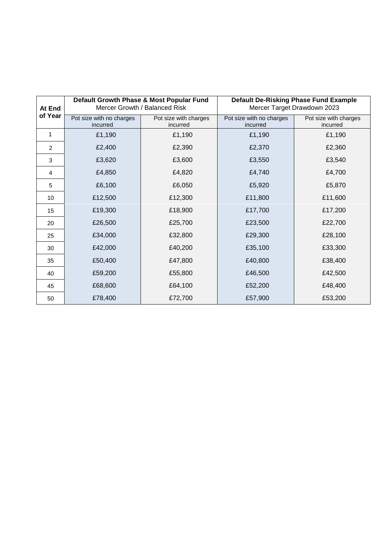| At End<br>of Year | Default Growth Phase & Most Popular Fund<br>Mercer Growth / Balanced Risk |                                   | <b>Default De-Risking Phase Fund Example</b><br>Mercer Target Drawdown 2023 |                                   |  |
|-------------------|---------------------------------------------------------------------------|-----------------------------------|-----------------------------------------------------------------------------|-----------------------------------|--|
|                   | Pot size with no charges<br>incurred                                      | Pot size with charges<br>incurred | Pot size with no charges<br>incurred                                        | Pot size with charges<br>incurred |  |
| 1                 | £1,190                                                                    | £1,190                            | £1,190                                                                      | £1,190                            |  |
| 2                 | £2,400                                                                    | £2,390                            | £2,370                                                                      | £2,360                            |  |
| $\sqrt{3}$        | £3,620                                                                    | £3,600                            | £3,550                                                                      | £3,540                            |  |
| 4                 | £4,850                                                                    | £4,820                            | £4,740                                                                      | £4,700                            |  |
| 5                 | £6,100                                                                    | £6,050                            | £5,920                                                                      | £5,870                            |  |
| 10 <sup>1</sup>   | £12,500                                                                   | £12,300                           | £11,800                                                                     | £11,600                           |  |
| 15                | £19,300                                                                   | £18,900                           | £17,700                                                                     | £17,200                           |  |
| 20                | £26,500                                                                   | £25,700                           | £23,500                                                                     | £22,700                           |  |
| 25                | £34,000                                                                   | £32,800                           | £29,300                                                                     | £28,100                           |  |
| 30                | £42,000                                                                   | £40,200                           | £35,100                                                                     | £33,300                           |  |
| 35                | £50,400                                                                   | £47,800                           | £40,800                                                                     | £38,400                           |  |
| 40                | £59,200                                                                   | £55,800                           | £46,500                                                                     | £42,500                           |  |
| 45                | £68,600                                                                   | £64,100                           | £52,200                                                                     | £48,400                           |  |
| 50                | £78,400                                                                   | £72,700                           | £57,900                                                                     | £53,200                           |  |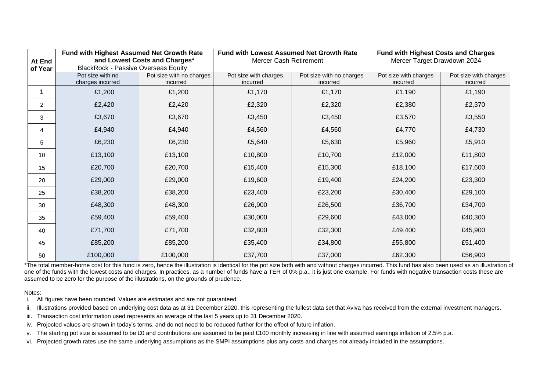|                | Fund with Highest Assumed Net Growth Rate  |                          | <b>Fund with Lowest Assumed Net Growth Rate</b> |                          | <b>Fund with Highest Costs and Charges</b> |                       |
|----------------|--------------------------------------------|--------------------------|-------------------------------------------------|--------------------------|--------------------------------------------|-----------------------|
| At End         | and Lowest Costs and Charges*              |                          | <b>Mercer Cash Retirement</b>                   |                          | Mercer Target Drawdown 2024                |                       |
| of Year        | <b>BlackRock - Passive Overseas Equity</b> |                          |                                                 |                          |                                            |                       |
|                | Pot size with no                           | Pot size with no charges | Pot size with charges                           | Pot size with no charges | Pot size with charges                      | Pot size with charges |
|                | charges incurred                           | incurred                 | incurred                                        | incurred                 | incurred                                   | incurred              |
|                | £1,200                                     | £1,200                   | £1,170                                          | £1,170                   | £1,190                                     | £1,190                |
| $\overline{2}$ | £2,420                                     | £2,420                   | £2,320                                          | £2,320                   | £2,380                                     | £2,370                |
| 3              | £3,670                                     | £3,670                   | £3,450                                          | £3,450                   | £3,570                                     | £3,550                |
| 4              | £4,940                                     | £4,940                   | £4,560                                          | £4,560                   | £4,770                                     | £4,730                |
| 5              | £6,230                                     | £6,230                   | £5,640                                          | £5,630                   | £5,960                                     | £5,910                |
| 10             | £13,100                                    | £13,100                  | £10,800                                         | £10,700                  | £12,000                                    | £11,800               |
| 15             | £20,700                                    | £20,700                  | £15,400                                         | £15,300                  | £18,100                                    | £17,600               |
| 20             | £29,000                                    | £29,000                  | £19,600                                         | £19,400                  | £24,200                                    | £23,300               |
| 25             | £38,200                                    | £38,200                  | £23,400                                         | £23,200                  | £30,400                                    | £29,100               |
| 30             | £48,300                                    | £48,300                  | £26,900                                         | £26,500                  | £36,700                                    | £34,700               |
| 35             | £59,400                                    | £59,400                  | £30,000                                         | £29,600                  | £43,000                                    | £40,300               |
| 40             | £71,700                                    | £71,700                  | £32,800                                         | £32,300                  | £49,400                                    | £45,900               |
| 45             | £85,200                                    | £85,200                  | £35,400                                         | £34,800                  | £55,800                                    | £51,400               |
| 50             | £100,000                                   | £100,000                 | £37,700                                         | £37,000                  | £62,300                                    | £56,900               |

\*The total member-borne cost for this fund is zero, hence the illustration is identical for the pot size both with and without charges incurred. This fund has also been used as an illustration of one of the funds with the lowest costs and charges. In practices, as a number of funds have a TER of 0% p.a., it is just one example. For funds with negative transaction costs these are assumed to be zero for the purpose of the illustrations, on the grounds of prudence.

#### Notes:

- i. All figures have been rounded. Values are estimates and are not guaranteed.
- ii. Illustrations provided based on underlying cost data as at 31 December 2020, this representing the fullest data set that Aviva has received from the external investment managers.
- iii. Transaction cost information used represents an average of the last 5 years up to 31 December 2020.
- iv. Projected values are shown in today's terms, and do not need to be reduced further for the effect of future inflation.
- v. The starting pot size is assumed to be £0 and contributions are assumed to be paid £100 monthly increasing in line with assumed earnings inflation of 2.5% p.a.
- vi. Projected growth rates use the same underlying assumptions as the SMPI assumptions plus any costs and charges not already included in the assumptions.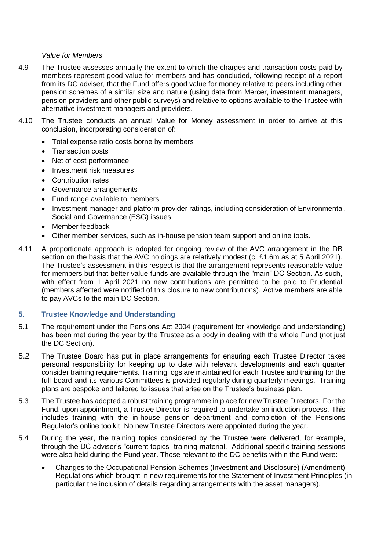#### *Value for Members*

- 4.9 The Trustee assesses annually the extent to which the charges and transaction costs paid by members represent good value for members and has concluded, following receipt of a report from its DC adviser, that the Fund offers good value for money relative to peers including other pension schemes of a similar size and nature (using data from Mercer, investment managers, pension providers and other public surveys) and relative to options available to the Trustee with alternative investment managers and providers.
- 4.10 The Trustee conducts an annual Value for Money assessment in order to arrive at this conclusion, incorporating consideration of:
	- Total expense ratio costs borne by members
	- Transaction costs
	- Net of cost performance
	- Investment risk measures
	- Contribution rates
	- Governance arrangements
	- Fund range available to members
	- Investment manager and platform provider ratings, including consideration of Environmental, Social and Governance (ESG) issues.
	- Member feedback
	- Other member services, such as in-house pension team support and online tools.
- 4.11 A proportionate approach is adopted for ongoing review of the AVC arrangement in the DB section on the basis that the AVC holdings are relatively modest (c. £1.6m as at 5 April 2021). The Trustee's assessment in this respect is that the arrangement represents reasonable value for members but that better value funds are available through the "main" DC Section. As such, with effect from 1 April 2021 no new contributions are permitted to be paid to Prudential (members affected were notified of this closure to new contributions). Active members are able to pay AVCs to the main DC Section.

# **5. Trustee Knowledge and Understanding**

- 5.1 The requirement under the Pensions Act 2004 (requirement for knowledge and understanding) has been met during the year by the Trustee as a body in dealing with the whole Fund (not just the DC Section).
- 5.2 The Trustee Board has put in place arrangements for ensuring each Trustee Director takes personal responsibility for keeping up to date with relevant developments and each quarter consider training requirements. Training logs are maintained for each Trustee and training for the full board and its various Committees is provided regularly during quarterly meetings. Training plans are bespoke and tailored to issues that arise on the Trustee's business plan.
- 5.3 The Trustee has adopted a robust training programme in place for new Trustee Directors. For the Fund, upon appointment, a Trustee Director is required to undertake an induction process. This includes training with the in-house pension department and completion of the Pensions Regulator's online toolkit. No new Trustee Directors were appointed during the year.
- 5.4 During the year, the training topics considered by the Trustee were delivered, for example, through the DC adviser's "current topics" training material. Additional specific training sessions were also held during the Fund year. Those relevant to the DC benefits within the Fund were:
	- Changes to the Occupational Pension Schemes (Investment and Disclosure) (Amendment) Regulations which brought in new requirements for the Statement of Investment Principles (in particular the inclusion of details regarding arrangements with the asset managers).